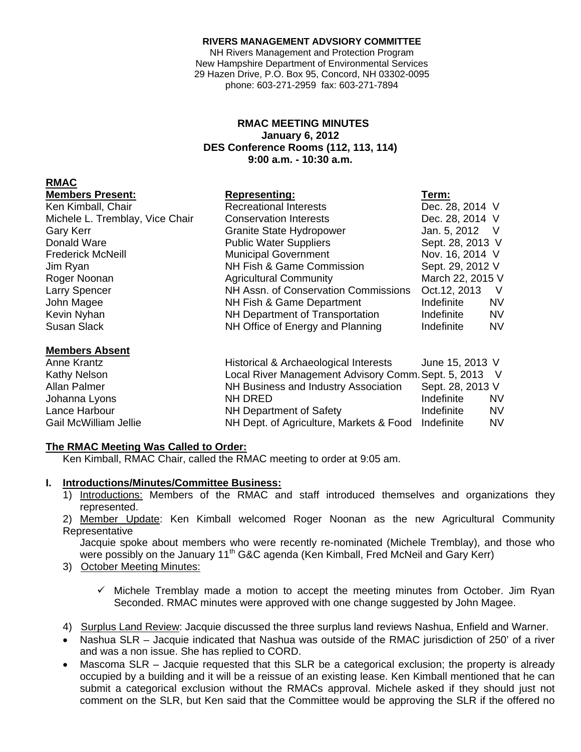#### **RIVERS MANAGEMENT ADVSIORY COMMITTEE**

NH Rivers Management and Protection Program New Hampshire Department of Environmental Services 29 Hazen Drive, P.O. Box 95, Concord, NH 03302-0095 phone: 603-271-2959 fax: 603-271-7894

### **RMAC MEETING MINUTES January 6, 2012 DES Conference Rooms (112, 113, 114) 9:00 a.m. - 10:30 a.m.**

### **RMAC**

| <b>Members Present:</b> |  |  |
|-------------------------|--|--|

| Ken Kimball, Chair              | <b>Recreational Interests</b>        | Dec. 28, 2014 V  |           |
|---------------------------------|--------------------------------------|------------------|-----------|
| Michele L. Tremblay, Vice Chair | <b>Conservation Interests</b>        | Dec. 28, 2014 V  |           |
| Gary Kerr                       | <b>Granite State Hydropower</b>      | Jan. 5, 2012     | $\vee$    |
| Donald Ware                     | <b>Public Water Suppliers</b>        | Sept. 28, 2013 V |           |
| <b>Frederick McNeill</b>        | <b>Municipal Government</b>          | Nov. 16, 2014 V  |           |
| Jim Ryan                        | NH Fish & Game Commission            | Sept. 29, 2012 V |           |
| Roger Noonan                    | <b>Agricultural Community</b>        | March 22, 2015 V |           |
| <b>Larry Spencer</b>            | NH Assn. of Conservation Commissions | Oct. 12, 2013    | $\vee$    |
| John Magee                      | NH Fish & Game Department            | Indefinite       | <b>NV</b> |
| Kevin Nyhan                     | NH Department of Transportation      | Indefinite       | <b>NV</b> |
| Susan Slack                     | NH Office of Energy and Planning     | Indefinite       | <b>NV</b> |

#### **Members Absent**

Anne Krantz **Historical & Archaeological Interests** June 15, 2013 V Kathy Nelson **Local River Management Advisory Comm. Sept. 5, 2013** V Allan Palmer **NH Business and Industry Association** Sept. 28, 2013 V Johanna Lyons **NH DRED** Indefinite NV Lance Harbour **NH Department of Safety** The Indefinite NV Gail McWilliam Jellie NH Dept. of Agriculture, Markets & Food Indefinite NV

Representing: Term:

# **The RMAC Meeting Was Called to Order:**

Ken Kimball, RMAC Chair, called the RMAC meeting to order at 9:05 am.

# **I. Introductions/Minutes/Committee Business:**

1) Introductions: Members of the RMAC and staff introduced themselves and organizations they represented.

2) Member Update: Ken Kimball welcomed Roger Noonan as the new Agricultural Community **Representative** 

Jacquie spoke about members who were recently re-nominated (Michele Tremblay), and those who were possibly on the January 11<sup>th</sup> G&C agenda (Ken Kimball, Fred McNeil and Gary Kerr)

3) October Meeting Minutes:

 $\checkmark$  Michele Tremblay made a motion to accept the meeting minutes from October. Jim Rvan Seconded. RMAC minutes were approved with one change suggested by John Magee.

4) Surplus Land Review: Jacquie discussed the three surplus land reviews Nashua, Enfield and Warner.

- Nashua SLR Jacquie indicated that Nashua was outside of the RMAC jurisdiction of 250' of a river and was a non issue. She has replied to CORD.
- Mascoma SLR Jacquie requested that this SLR be a categorical exclusion; the property is already occupied by a building and it will be a reissue of an existing lease. Ken Kimball mentioned that he can submit a categorical exclusion without the RMACs approval. Michele asked if they should just not comment on the SLR, but Ken said that the Committee would be approving the SLR if the offered no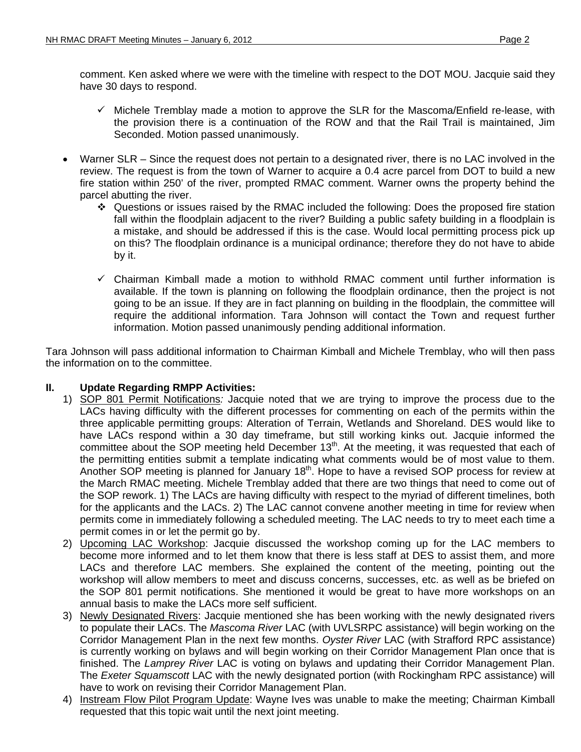- $\checkmark$  Michele Tremblay made a motion to approve the SLR for the Mascoma/Enfield re-lease, with the provision there is a continuation of the ROW and that the Rail Trail is maintained, Jim Seconded. Motion passed unanimously.
- Warner SLR Since the request does not pertain to a designated river, there is no LAC involved in the review. The request is from the town of Warner to acquire a 0.4 acre parcel from DOT to build a new fire station within 250' of the river, prompted RMAC comment. Warner owns the property behind the parcel abutting the river.
	- Questions or issues raised by the RMAC included the following: Does the proposed fire station fall within the floodplain adjacent to the river? Building a public safety building in a floodplain is a mistake, and should be addressed if this is the case. Would local permitting process pick up on this? The floodplain ordinance is a municipal ordinance; therefore they do not have to abide by it.
	- $\checkmark$  Chairman Kimball made a motion to withhold RMAC comment until further information is available. If the town is planning on following the floodplain ordinance, then the project is not going to be an issue. If they are in fact planning on building in the floodplain, the committee will require the additional information. Tara Johnson will contact the Town and request further information. Motion passed unanimously pending additional information.

Tara Johnson will pass additional information to Chairman Kimball and Michele Tremblay, who will then pass the information on to the committee.

# **II. Update Regarding RMPP Activities:**

- 1) SOP 801 Permit Notifications*:* Jacquie noted that we are trying to improve the process due to the LACs having difficulty with the different processes for commenting on each of the permits within the three applicable permitting groups: Alteration of Terrain, Wetlands and Shoreland. DES would like to have LACs respond within a 30 day timeframe, but still working kinks out. Jacquie informed the committee about the SOP meeting held December 13<sup>th</sup>. At the meeting, it was requested that each of the permitting entities submit a template indicating what comments would be of most value to them. Another SOP meeting is planned for January 18<sup>th</sup>. Hope to have a revised SOP process for review at the March RMAC meeting. Michele Tremblay added that there are two things that need to come out of the SOP rework. 1) The LACs are having difficulty with respect to the myriad of different timelines, both for the applicants and the LACs. 2) The LAC cannot convene another meeting in time for review when permits come in immediately following a scheduled meeting. The LAC needs to try to meet each time a permit comes in or let the permit go by.
- 2) Upcoming LAC Workshop: Jacquie discussed the workshop coming up for the LAC members to become more informed and to let them know that there is less staff at DES to assist them, and more LACs and therefore LAC members. She explained the content of the meeting, pointing out the workshop will allow members to meet and discuss concerns, successes, etc. as well as be briefed on the SOP 801 permit notifications. She mentioned it would be great to have more workshops on an annual basis to make the LACs more self sufficient.
- 3) Newly Designated Rivers: Jacquie mentioned she has been working with the newly designated rivers to populate their LACs. The *Mascoma River* LAC (with UVLSRPC assistance) will begin working on the Corridor Management Plan in the next few months. *Oyster River* LAC (with Strafford RPC assistance) is currently working on bylaws and will begin working on their Corridor Management Plan once that is finished. The *Lamprey River* LAC is voting on bylaws and updating their Corridor Management Plan. The *Exeter Squamscott* LAC with the newly designated portion (with Rockingham RPC assistance) will have to work on revising their Corridor Management Plan.
- 4) Instream Flow Pilot Program Update: Wayne Ives was unable to make the meeting; Chairman Kimball requested that this topic wait until the next joint meeting.